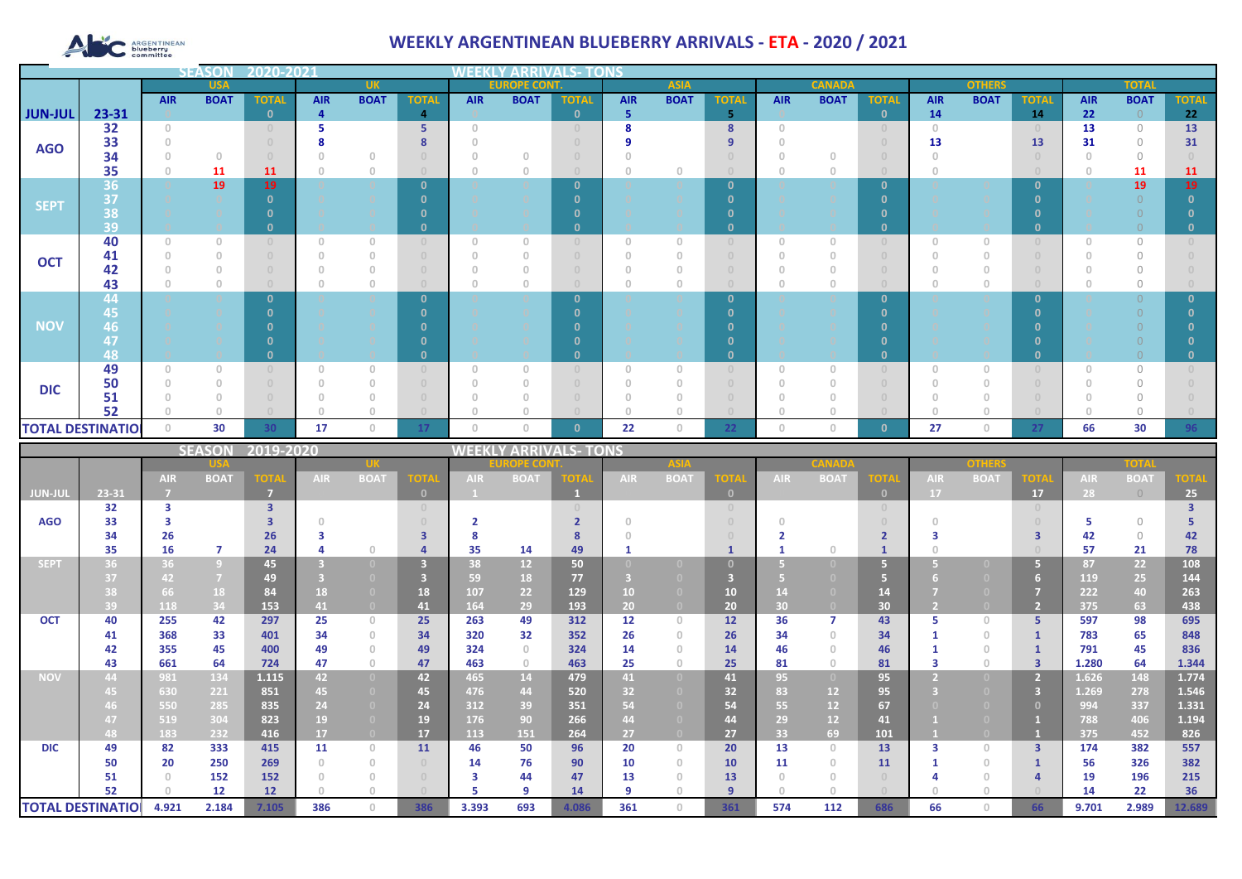# ARGENTINEAN

## **WEEKLY ARGENTINEAN BLUEBERRY ARRIVALS - ETA - 2020 / 2021**

|                |                               |                                       | <b>SEASON</b>                         |                         | 2020-2021<br>WEEKLY<br><b>ARRIVALS- TONS</b> |                        |                                        |                                       |                        |                              |                         |                                                  |                                       |                                       |                           |                                       |                         |                                       |                                         |                |                      |                         |
|----------------|-------------------------------|---------------------------------------|---------------------------------------|-------------------------|----------------------------------------------|------------------------|----------------------------------------|---------------------------------------|------------------------|------------------------------|-------------------------|--------------------------------------------------|---------------------------------------|---------------------------------------|---------------------------|---------------------------------------|-------------------------|---------------------------------------|-----------------------------------------|----------------|----------------------|-------------------------|
|                |                               |                                       | <b>USA</b>                            |                         |                                              | <b>UK</b>              |                                        |                                       | <b>EUROPE CO</b>       |                              |                         | <b>ASIA</b>                                      |                                       |                                       | <b>CANADA</b>             |                                       |                         | <b>OTHERS</b>                         |                                         |                | <b>TOTAL</b>         |                         |
|                |                               | <b>AIR</b>                            | <b>BOAT</b>                           | <b>TOTAL</b>            | <b>AIR</b>                                   | <b>BOAT</b>            | <b>TOTAL</b>                           | <b>AIR</b>                            | <b>BOAT</b>            | <b>TOTAL</b>                 | <b>AIR</b>              | <b>BOAT</b>                                      | <b>TOTAL</b>                          | <b>AIR</b>                            | <b>BOAT</b>               | <b>TOTAL</b>                          | <b>AIR</b>              | <b>BOAT</b>                           | <b>TOTAL</b>                            | <b>AIR</b>     | <b>BOAT</b>          | <b>TOTAL</b>            |
| <b>JUN-JUL</b> | 23-31                         |                                       |                                       | $\mathbf{0}$            | $\overline{4}$                               |                        | $\overline{4}$                         |                                       |                        | $\mathbf{0}$                 | 5 <sup>1</sup>          |                                                  | 5 <sup>1</sup>                        |                                       |                           | $\mathbf{0}$                          | 14                      |                                       | 14                                      | 22             | $\Omega$             | 22                      |
|                | 32                            | $\circ$                               |                                       | $\cup$                  | 5                                            |                        | 5 <sub>1</sub>                         | $\begin{array}{c} 0 \\ 0 \end{array}$ |                        | $\circ$                      | 8                       |                                                  | 8                                     | $\circ$                               |                           | $\circ$                               | $\circ$                 |                                       | $\circ$                                 | 13             | $\circledcirc$       | 13                      |
| <b>AGO</b>     | 33                            | $\mathbb O$                           |                                       | $\cup$                  | 8                                            |                        | 8                                      | $\begin{array}{c} 0 \\ 0 \end{array}$ |                        | $\overline{0}$               | 9                       |                                                  | 9                                     | $\theta$                              |                           | $\mathbb O$                           | 13                      |                                       | 13                                      | 31             | $\bigcirc$           | 31                      |
|                | 34                            | $\circ$                               | $\mathbb O$                           | $\cup$                  | $\circ$                                      | $\circledcirc$         | $\overline{0}$                         | $\circledcirc$                        | $\circ$                | $\overline{0}$               | $\circ$                 |                                                  | $\cup$                                | $\theta$                              | $\circ$                   | $\mathbb O$                           | $\circ$                 |                                       | $\sqrt{0}$                              | $\circ$        | $\circ$              | $\cup$                  |
|                | 35                            | $\begin{array}{c} 0 \\ 0 \end{array}$ | 11                                    | 11                      | $\cap$                                       | $\mathbb O$            | $\Box$                                 | $\circ$                               | $\circ$                | $\Omega$                     | $\circ$                 | $\circ$                                          | $\Omega$                              | $\theta$                              | $\mathbb O$               | $\begin{array}{c} 0 \end{array}$      | $\overline{0}$          |                                       | $\bigcirc$                              | $\mathbf{0}$   | 11                   | 11                      |
|                | 36<br>37                      |                                       | 19                                    | 19<br>$\mathbf{0}$      |                                              |                        | $\mathbf{0}$<br>$\mathbf{0}$           |                                       |                        | $\mathbf{0}$<br>$\mathbf{0}$ |                         |                                                  | $\mathbf{0}$<br>$\mathbf{0}$          |                                       |                           | $\mathbf{0}$<br>$\mathbf{0}$          |                         | $\circ$                               | $\mathbf{0}$<br>$\mathbf{0}$            |                | 19<br>$\overline{0}$ | 19<br>$\mathbf{0}$      |
| <b>SEPT</b>    | 38                            |                                       |                                       | $\mathbf{0}$            |                                              |                        | $\mathbf{0}$                           |                                       |                        | $\mathbf{0}$                 |                         |                                                  | $\mathbf{0}$                          |                                       |                           | $\mathbf{0}$                          |                         |                                       | $\mathbf{0}$                            |                | $\overline{0}$       | $\mathbf{0}$            |
|                | 39                            |                                       |                                       | $\mathbf{0}$            |                                              |                        | $\mathbf{0}$                           |                                       |                        | $\Omega$                     |                         |                                                  | $\mathbf{0}$                          |                                       |                           | $\mathbf{0}$                          |                         |                                       | $\mathbf{0}$                            |                | $\overline{O}$       | $\mathbf{0}$            |
|                | 40                            | $\circ$                               | $\circ$                               | $\theta$                | $\circ$                                      | $\circ$                | $\circ$                                | $\begin{array}{c} 0 \\ 0 \end{array}$ | $\circ$                | $\overline{0}$               | $\circ$                 | $\begin{array}{c} 0 \\ 0 \end{array}$            | $\circ$                               | $\begin{array}{c} 0 \\ 0 \end{array}$ | $\circ$                   | $\overline{0}$                        | $\circ$                 | $\circ$                               | $\circ$                                 | $\circ$        | $\bigcirc$           | $\cup$                  |
|                | 41                            | $\circ$                               | $\circ$                               | $\overline{0}$          | $\circ$                                      | $\mathbb O$            | $\cup$                                 | $\begin{array}{c} 0 \\ 0 \end{array}$ | $\circ$                | $\overline{0}$               | $\circ$                 | $\circ$                                          | $\cup$                                | $\theta$                              | $\circ$                   | $\overline{0}$                        | $\circ$                 | $\mathbb O$                           | $\begin{array}{c} 0 \\ 0 \end{array}$   | $\overline{0}$ | $\circ$              | $\cup$                  |
| <b>OCT</b>     | 42                            | $\circ$                               | $\overline{0}$                        | $\cup$                  | $\Omega$                                     | $\mathbb O$            | $\begin{array}{c} \square \end{array}$ | $\begin{array}{c} 0 \\ 0 \end{array}$ | $\theta$               | $\overline{0}$               | $\circ$                 | $\circ$                                          | $\begin{array}{c} 0 \\ 0 \end{array}$ | $\Omega$                              | $\circ$                   | $\mathbb O$                           | $\Omega$                | $\mathbb O$                           | $\sqrt{0}$                              | $\Omega$       | $\mathcal O$         | $\cup$                  |
|                | 43                            | $\circ$                               | $\circledcirc$                        | $\bigcap$               | $\Omega$                                     | $\circ$                | $\Box$                                 | $\begin{array}{c} 0 \\ 0 \end{array}$ | $\circ$                | $\cap$                       | $\circledcirc$          | $\circ$                                          | $\circ$                               | $\Omega$                              | $\circ$                   | $\cup$                                | $\Omega$                | $\mathbb O$                           | $\bigcirc$                              | $\Omega$       | $\circ$              | $\cup$                  |
|                | 44                            |                                       |                                       | $\mathbf{0}$            |                                              |                        | $\mathbf{0}$                           |                                       |                        | $\mathbf{0}$                 |                         |                                                  | $\mathbf{0}$                          |                                       |                           | $\mathbf{0}$                          |                         |                                       | $\mathbf{0}$                            |                | $\overline{0}$       | $\mathbf{0}$            |
|                | 45                            |                                       |                                       | $\mathbf{0}$            |                                              |                        | $\mathbf{0}$                           |                                       |                        | $\mathbf{0}$                 |                         |                                                  | $\mathbf{0}$                          |                                       |                           | $\mathbf{0}$                          |                         |                                       | $\mathbf{0}$                            |                |                      | $\mathbf{0}$            |
| <b>NOV</b>     | 46                            |                                       |                                       | $\Omega$                |                                              |                        | $\mathbf{0}$                           |                                       |                        | $\mathbf{0}$                 |                         |                                                  | $\mathbf{0}$                          |                                       |                           | $\mathbf{0}$                          |                         |                                       | $\mathbf{0}$                            |                | $\Omega$             | $\mathbf{0}$            |
|                | 47                            |                                       |                                       | $\Omega$                |                                              |                        | $\mathbf{0}$                           |                                       |                        | $\Omega$                     |                         |                                                  | $\mathbf{0}$                          |                                       |                           | $\mathbf{0}$                          |                         |                                       | $\Omega$                                |                | $\Omega$             | $\mathbf{0}$            |
|                | 48                            |                                       |                                       | $\mathbf{0}$            |                                              |                        | $\mathbf{0}$                           |                                       |                        | $\mathbf{0}$                 |                         |                                                  | $\mathbf{0}$                          |                                       |                           | $\mathbf{0}$                          |                         |                                       | $\mathbf{0}$                            |                | $\overline{O}$       | $\mathbf{0}$            |
|                | 49                            | $\circ$                               | $\circ$                               | $\cup$                  | $\circ$                                      | $\circ$                | $\circ$                                | $\begin{array}{c} 0 \\ 0 \end{array}$ | $\circ$                | $\overline{0}$               | $\mathbb O$             | $\begin{array}{c} 0 \\ 0 \end{array}$            | $\circ$                               | $\sqrt{2}$                            | $\circledcirc$            | $\overline{0}$                        | $\circ$                 | $\mathbb O$                           | $\begin{array}{c} 0 \end{array}$        | $\circ$        | $\circ$              | $\circ$                 |
| <b>DIC</b>     | 50                            | $\circ$                               | $\begin{array}{c} 0 \\ 0 \end{array}$ | $\overline{0}$          | $\begin{array}{c} 0 \\ 0 \end{array}$        | $\circ$                | $\circ$                                | $\begin{array}{c} 0 \\ 0 \end{array}$ | $\circ$                | $\cup$                       | $\circ$                 | $\circ$                                          | $\begin{array}{c} 0 \end{array}$      | $\sqrt{a}$                            | $\circ$                   | $\overline{0}$                        | $\circ$                 | $\begin{array}{c} 0 \\ 0 \end{array}$ | $\cup$                                  | $\circ$        | $\mathcal O$         | $\cup$                  |
|                | 51                            | $\circ$                               | $\begin{array}{c} 0 \\ 0 \end{array}$ | $\cup$                  | $\begin{array}{c} 0 \\ 0 \end{array}$        | $\circ$                | $\circ$                                | $\circledcirc$                        | $\circ$                | $\overline{0}$               | $\circ$                 | $\begin{array}{c} 0 \\ 0 \end{array}$            | $\circ$                               | $\theta$                              | $\circ$                   | $\begin{array}{c} 0 \end{array}$      | $\circ$                 | $\begin{array}{c} 0 \\ 0 \end{array}$ | $\circ$                                 | $\circ$        | $\bigcirc$           | $\cup$                  |
|                | 52                            | $\circ$                               | $\sqrt{a}$                            | $\Box$                  | $\Omega$                                     | $\circ$                | $\circ$                                | $\begin{array}{c} 0 \\ 0 \end{array}$ | $\theta$               | $\cup$                       | $\circ$                 | $\circ$                                          | $\circ$                               | $\theta$                              | $\circ$                   | $\cup$                                | $\circ$                 | $\begin{array}{c} 0 \\ 0 \end{array}$ | $\sqrt{0}$                              | $\Omega$       | $\bigcirc$           | $\cup$                  |
|                | <b>TOTAL DESTINATIO</b>       | $\circ$                               | 30                                    | 30                      | 17                                           | $\mathbb O$            | 17                                     | $\circledcirc$                        | $\circ$                | $\mathbf{0}$                 | 22                      | $\mathbb O$                                      | 22                                    | $\circledcirc$                        | $\circ$                   | $\mathbf{0}$                          | 27                      | $\mathbb O$                           | 27                                      | 66             | 30                   | 96                      |
|                |                               |                                       |                                       |                         |                                              |                        |                                        |                                       |                        |                              |                         |                                                  |                                       |                                       |                           |                                       |                         |                                       |                                         |                |                      |                         |
|                |                               |                                       | <b>SEASON</b>                         | 2019-2020               |                                              |                        |                                        |                                       |                        | <b>WEEKLY ARRIVALS- TONS</b> |                         |                                                  |                                       |                                       |                           |                                       |                         |                                       |                                         |                |                      |                         |
|                |                               |                                       |                                       |                         |                                              | 'UK                    |                                        |                                       | 12 E C                 |                              |                         | ASIA                                             |                                       |                                       |                           |                                       |                         | OTHER                                 |                                         |                | <b>TOTAL</b>         |                         |
|                |                               | <b>AIR</b>                            | <b>BOAT</b>                           | гот/                    | AIR.                                         | <b>BOAT</b>            | <b>OTA</b>                             | AIR.                                  | <b>BOAT</b>            | <b>TOTA</b>                  | AIR.                    | <b>BOAT</b>                                      | <b>TOT</b>                            | AIR.                                  | <b>BOAT</b>               | <b>OTA</b>                            | AIR.                    | <b>BOAT</b>                           | $\mathbf{O}\mathbf{T}$                  | AIR.           | <b>BOAT</b>          |                         |
| <b>JUN-JUI</b> | 23-31                         | $\overline{I}$                        |                                       | $\overline{7}$          |                                              |                        | $\mathbf{0}$                           |                                       |                        | 1                            |                         |                                                  | $\mathbf 0$                           |                                       |                           | $\mathbf{0}^-$                        | 17                      |                                       | 17                                      | 28             | $\overline{0}$       | 25 <sub>2</sub>         |
|                | 32                            | 3                                     |                                       | $\overline{\mathbf{3}}$ |                                              |                        | $\circ$                                |                                       |                        | $\overline{0}$               |                         |                                                  | $\mathbb O$                           |                                       |                           | $\begin{array}{c} 0 \\ 0 \end{array}$ |                         |                                       | $\circ$                                 |                |                      | $\overline{\mathbf{3}}$ |
| <b>AGO</b>     | 33                            | 3                                     |                                       | $\overline{\mathbf{3}}$ | $\circ$                                      |                        | $\begin{array}{c} 0 \end{array}$       | $\overline{2}$                        |                        | 2 <sup>1</sup>               | $\circ$                 |                                                  | $\cup$                                | $\circ$                               |                           | $\overline{0}$                        | $\circ$                 |                                       | $\sqrt{a}$                              | 5              | $\circ$              | 5                       |
|                | 34                            | 26                                    |                                       | 26                      | $\overline{\mathbf{3}}$                      |                        | $\overline{\mathbf{3}}$                | 8                                     |                        | 8                            | $\,0\,$                 |                                                  | $\theta$                              | $\overline{2}$                        |                           | $\overline{2}$                        | $\overline{\mathbf{3}}$ |                                       | $\overline{\mathbf{3}}$                 | 42             | $\bigcirc$           | 42                      |
|                | 35                            | 16                                    | $\overline{7}$                        | 24                      | $\overline{a}$                               | $\circ$                | 4                                      | 35                                    | 14                     | 49                           | $\mathbf{1}$            |                                                  | $\mathbf{1}$                          | $\mathbf{1}$                          | $\circ$                   | $\mathbf{1}$                          | $\circ$                 |                                       | $\cap$                                  | 57             | 21                   | 78                      |
| <b>SEPT</b>    | 36                            | 36                                    | $9\,$                                 | 45                      | $\overline{\mathbf{3}}$                      | $\overline{0}$         | $\overline{\mathbf{3}}$                | 38                                    | 12 <sup>2</sup>        | 50                           |                         |                                                  | $\mathbf{0}$                          | $\sqrt{5}$                            |                           | 5 <sub>1</sub>                        | 5.                      | $\overline{0}$                        | $\overline{5}$                          | 87             | 22                   | 108                     |
|                | 37                            | 42                                    | $\overline{7}$                        | 49                      | $\overline{3}$                               | $\overline{0}$         | $\overline{\mathbf{3}}$                | 59                                    | 18                     | 77                           | $\overline{\mathbf{3}}$ | $\overline{0}$                                   | $\overline{\mathbf{3}}$               | $\overline{5}$                        | $\overline{0}$            | 5 <sup>1</sup>                        |                         | $\overline{0}$                        | 6                                       | 119            | 25                   | 144                     |
|                | 38                            | 66                                    | 18                                    | 84                      | 18                                           | $\overline{0}$         | 18                                     | 107                                   | 22                     | 129                          | 10 <sub>1</sub>         | $\overline{0}$                                   | ${\bf 10}$                            | 14                                    | $\overline{0}$            | 14                                    | 7                       | $\overline{0}$                        | $\overline{7}$                          | 222            | 40                   | 263                     |
|                | 39                            | 118                                   | 34                                    | 153                     | 41                                           | $\overline{0}$         | 41                                     | 164                                   | 29                     | 193                          | 20 <sub>1</sub>         | $\overline{0}$                                   | 20                                    | 30                                    | $\overline{0}$            | 30                                    | $\overline{2}$          | $\bullet$                             | $\overline{2}$                          | 375            | 63                   | 438                     |
| <b>OCT</b>     | 40                            | 255                                   | 42                                    | 297                     | 25                                           | $\circ$                | 25                                     | 263                                   | 49                     | 312                          | 12                      | $\begin{array}{c} 0 \\ 0 \end{array}$            | 12                                    | 36                                    | $\overline{7}$            | 43                                    | 5<br>$\mathbf{1}$       | $\circ$                               | 5                                       | 597            | 98                   | 695                     |
|                | 41                            | 368                                   | 33                                    | 401                     | 34                                           | $\circ$                | 34                                     | 320                                   | 32                     | 352                          | 26                      | $\circ$                                          | 26                                    | 34                                    | $\circ$                   | 34                                    |                         | $\mathbb O$                           | $\mathbf{1}$                            | 783            | 65                   | 848                     |
|                | 42<br>43                      | 355<br>661                            | 45<br>64                              | 400<br>724              | 49<br>47                                     | $\circ$<br>$\circ$     | 49<br>47                               | 324<br>463                            | $\circ$<br>$\mathbb O$ | 324<br>463                   | 14<br>25                | $\begin{array}{c} 0 \\ 0 \end{array}$<br>$\circ$ | 14<br>25                              | 46<br>81                              | $\circ$<br>$\circledcirc$ | 46<br>81                              | $\mathbf{1}$<br>3       | $\mathbb O$<br>$\mathbb O$            | $\mathbf{1}$<br>$\overline{\mathbf{3}}$ | 791<br>1.280   | 45                   | 836<br>1.344            |
| <b>NOV</b>     | 44                            | 981                                   | 134                                   | 1.115                   | 42                                           | $\overline{0}$         | 42                                     | 465                                   | 14                     | 479                          | 41                      | $\overline{0}$                                   | 41                                    | 95                                    | $\Box$                    | 95                                    | $\overline{2}$          | $\overline{0}$                        | $\overline{2}$                          | 1.626          | 64<br>148            | 1.774                   |
|                | 45                            | 630                                   | 221                                   | 851                     | 45                                           | $\overline{0}$         | 45                                     | 476                                   | 44                     | 520                          |                         | $\overline{0}$                                   | 32                                    | 83                                    | 12                        |                                       | B                       |                                       | $\overline{\mathbf{3}}$                 | 1.269          |                      |                         |
|                | 46                            | 550                                   | 285                                   | 835                     | 24                                           | $\overline{0}$         | 24                                     | 312                                   | 39                     | 351                          | 32 <sub>2</sub><br>54   |                                                  | 54                                    | 55                                    | 12                        | 95<br>67                              |                         |                                       | $\mathbf{0}$                            | 994            | 278<br>337           | 1.546<br>1.331          |
|                | 47                            | 519                                   | 304                                   | 823                     | 19                                           | $\overline{0}$         | 19                                     | 176                                   | 90                     | 266                          | 44                      | $\overline{0}$                                   | 44                                    | 29                                    | 12 <sub>1</sub>           | 41                                    | 1                       | $\overline{0}$                        | $\mathbf{1}$                            | 788            | 406                  | 1.194                   |
|                | 48                            | 183                                   | 232                                   | 416                     | 17 <sup>2</sup>                              | $\overline{0}$         | 17                                     | 113                                   | 151                    | 264                          | 27                      |                                                  | 27                                    | 33                                    | 69                        | 101                                   |                         | $\overline{0}$                        | $\overline{1}$                          | 375            | 452                  | 826                     |
| <b>DIC</b>     | 49                            | 82                                    | 333                                   | 415                     | 11                                           | $\circ$                | 11                                     | 46                                    | 50                     | 96                           | 20                      | $\mathbb O$                                      | 20                                    | 13                                    | $\circ$                   | 13                                    | 3                       | $\mathbb O$                           | $\overline{\mathbf{3}}$                 | 174            | 382                  | 557                     |
|                | 50                            | 20                                    | 250                                   | 269                     | $\circ$                                      | $\circ$                | $\circ$                                | 14                                    | 76                     | 90                           | 10                      | $\begin{array}{c} 0 \\ 0 \end{array}$            | 10                                    | 11                                    | $\circ$                   | 11                                    | 1                       | $\mathbb O$                           | $\mathbf{1}$                            | 56             | 326                  | 382                     |
|                | 51                            | $\circ$                               | 152                                   | 152                     | $\begin{array}{c} 0 \\ 0 \end{array}$        | $\mathbb O$            | $\circ$                                | $\overline{\mathbf{3}}$               | 44                     | 47                           | 13                      | $\begin{array}{c} 0 \\ 0 \end{array}$            | 13                                    | $\sqrt{a}$                            | $\circ$                   | $\theta$                              | 4                       | $\mathbb O$                           | $\overline{a}$                          | 19             | 196                  | 215                     |
|                | 52<br><b>TOTAL DESTINATIO</b> | $\mathbf{0}$<br>4.921                 | 12<br>2.184                           | 12<br>7.105             | $\begin{array}{c} 0 \\ 0 \end{array}$<br>386 | $\circ$<br>$\mathbb O$ | $\cap$<br>386                          | 5<br>3.393                            | 9<br>693               | 14<br>4.086                  | 9<br>361                | $\circ$<br>$\circ$                               | 9<br>361                              | $\sqrt{a}$<br>574                     | $\circ$<br>112            | 686                                   | $\circ$<br>66           | $\mathbb O$<br>$\mathbb O$            | 66                                      | 14<br>9.701    | 22<br>2.989          | 36<br>12.689            |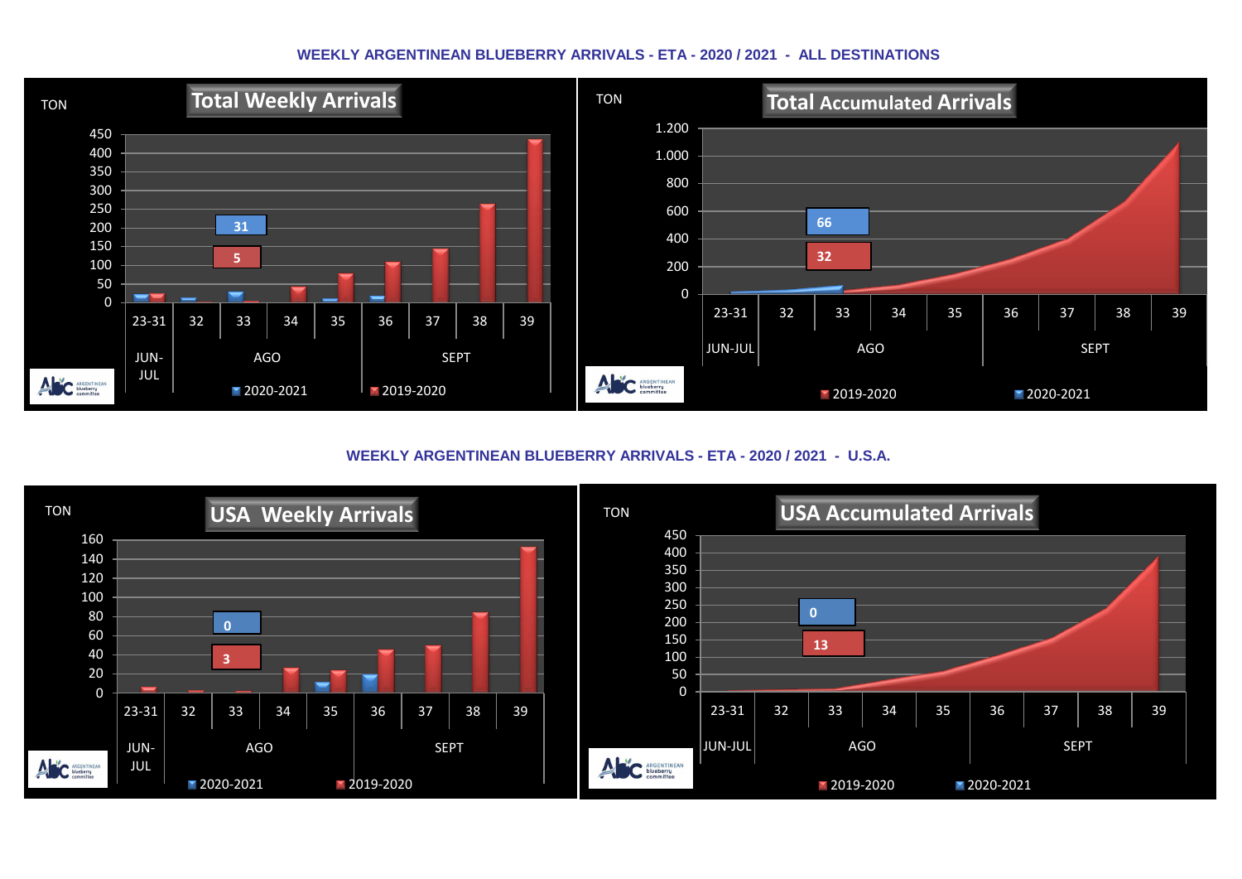#### **WEEKLY ARGENTINEAN BLUEBERRY ARRIVALS - ETA - 2020 / 2021 - ALL DESTINATIONS**



**WEEKLY ARGENTINEAN BLUEBERRY ARRIVALS - ETA - 2020 / 2021 - U.S.A.**

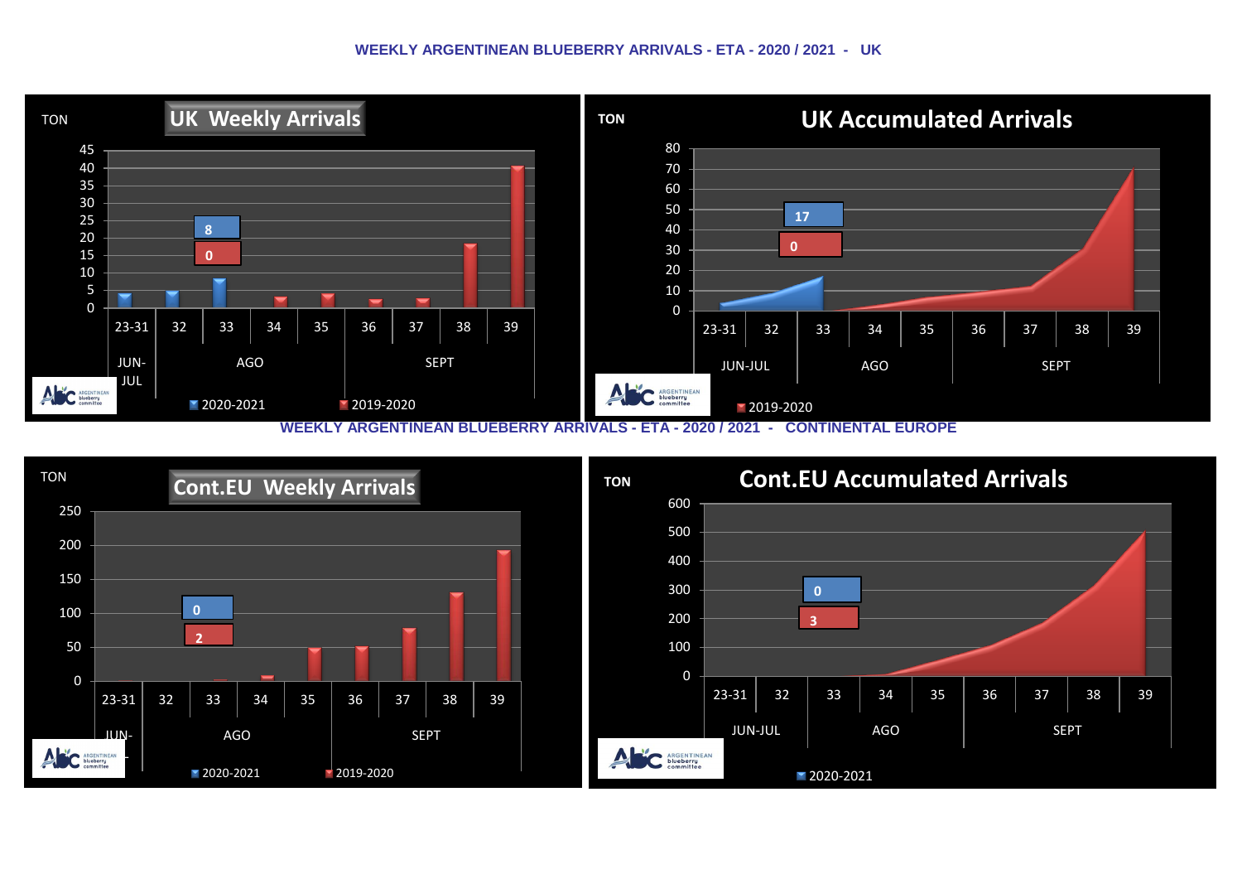#### **WEEKLY ARGENTINEAN BLUEBERRY ARRIVALS - ETA - 2020 / 2021 - UK**



**WEEKLY ARGENTINEAN BLUEBERRY ARRIVALS - ETA - 2020 / 2021 - CONTINENTAL EUROPE**